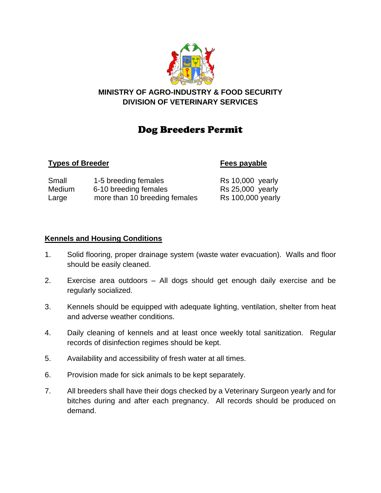

# **MINISTRY OF AGRO-INDUSTRY & FOOD SECURITY DIVISION OF VETERINARY SERVICES**

# Dog Breeders Permit

### **Types of Breeder Fees payable**

| Small  | 1-5 breeding females          | $Rs$ 10,000 yearly       |
|--------|-------------------------------|--------------------------|
| Medium | 6-10 breeding females         | <b>Rs 25,000 yearly</b>  |
| Large  | more than 10 breeding females | <b>Rs 100,000 yearly</b> |

## **Kennels and Housing Conditions**

- 1. Solid flooring, proper drainage system (waste water evacuation). Walls and floor should be easily cleaned.
- 2. Exercise area outdoors All dogs should get enough daily exercise and be regularly socialized.
- 3. Kennels should be equipped with adequate lighting, ventilation, shelter from heat and adverse weather conditions.
- 4. Daily cleaning of kennels and at least once weekly total sanitization. Regular records of disinfection regimes should be kept.
- 5. Availability and accessibility of fresh water at all times.
- 6. Provision made for sick animals to be kept separately.
- 7. All breeders shall have their dogs checked by a Veterinary Surgeon yearly and for bitches during and after each pregnancy. All records should be produced on demand.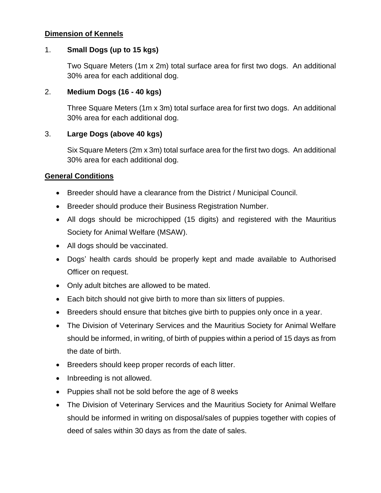### **Dimension of Kennels**

#### 1. **Small Dogs (up to 15 kgs)**

Two Square Meters (1m x 2m) total surface area for first two dogs. An additional 30% area for each additional dog.

#### 2. **Medium Dogs (16 - 40 kgs)**

Three Square Meters (1m x 3m) total surface area for first two dogs. An additional 30% area for each additional dog.

#### 3. **Large Dogs (above 40 kgs)**

Six Square Meters (2m x 3m) total surface area for the first two dogs. An additional 30% area for each additional dog.

#### **General Conditions**

- Breeder should have a clearance from the District / Municipal Council.
- Breeder should produce their Business Registration Number.
- All dogs should be microchipped (15 digits) and registered with the Mauritius Society for Animal Welfare (MSAW).
- All dogs should be vaccinated.
- Dogs' health cards should be properly kept and made available to Authorised Officer on request.
- Only adult bitches are allowed to be mated.
- Each bitch should not give birth to more than six litters of puppies.
- Breeders should ensure that bitches give birth to puppies only once in a year.
- The Division of Veterinary Services and the Mauritius Society for Animal Welfare should be informed, in writing, of birth of puppies within a period of 15 days as from the date of birth.
- Breeders should keep proper records of each litter.
- Inbreeding is not allowed.
- Puppies shall not be sold before the age of 8 weeks
- The Division of Veterinary Services and the Mauritius Society for Animal Welfare should be informed in writing on disposal/sales of puppies together with copies of deed of sales within 30 days as from the date of sales.